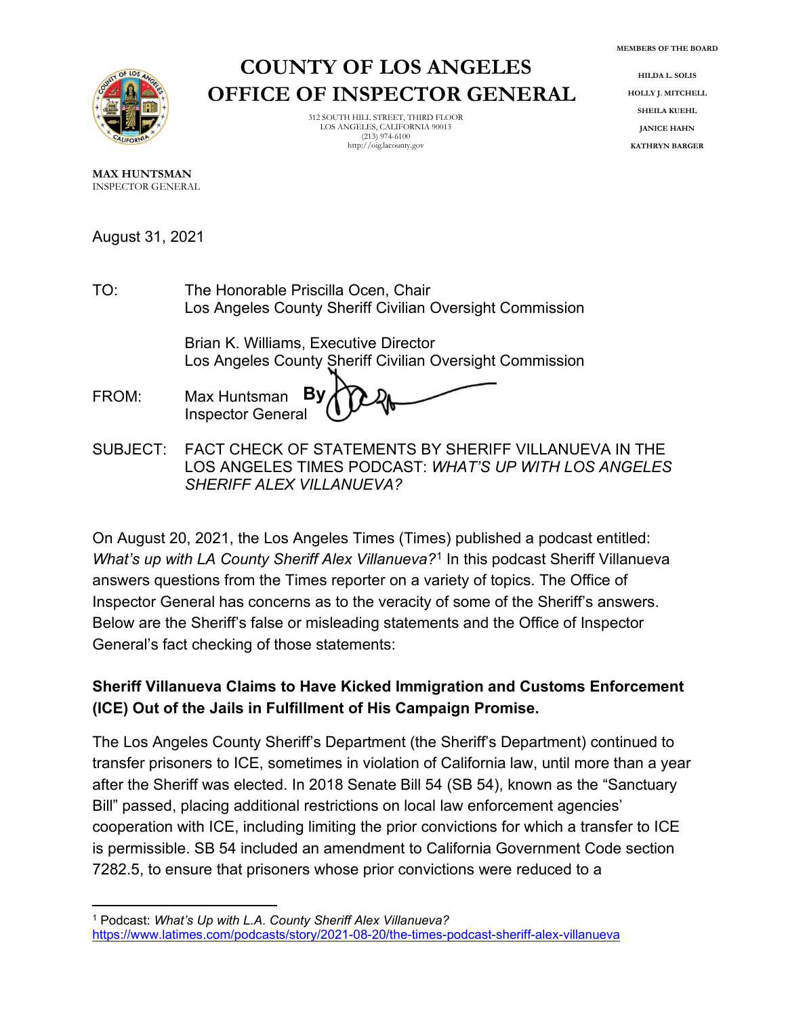

# **COUNTY OF LOS ANGELES OFFICE OF INSPECTOR GENERAL**

312 SOUTH HILL STREET, THIRD FLOOR LOS ANGELES, CALIFORNIA 90013 (213) 974-6100 http://oig.lacounty.gov

**HILDA L. SOLIS HOLLY J. MITCHELL SHEILA KUEHL JANICE HAHN KATHRYN BARGER**

**MAX HUNTSMAN** INSPECTOR GENERAL

August 31, 2021

TO: The Honorable Priscilla Ocen, Chair Los Angeles County Sheriff Civilian Oversight Commission

> Brian K. Williams, Executive Director Los Angeles County Sheriff Civilian Oversight Commission

FROM: Max Huntsman Inspector General **By**

SUBJECT: FACT CHECK OF STATEMENTS BY SHERIFF VILLANUEVA IN THE LOS ANGELES TIMES PODCAST: *WHAT'S UP WITH LOS ANGELES SHERIFF ALEX VILLANUEVA?* 

On August 20, 2021, the Los Angeles Times (Times) published a podcast entitled: *What's up with LA County Sheriff Alex Villanueva?*[1](#page-0-0) In this podcast Sheriff Villanueva answers questions from the Times reporter on a variety of topics. The Office of Inspector General has concerns as to the veracity of some of the Sheriff's answers. Below are the Sheriff's false or misleading statements and the Office of Inspector General's fact checking of those statements:

#### **Sheriff Villanueva Claims to Have Kicked Immigration and Customs Enforcement (ICE) Out of the Jails in Fulfillment of His Campaign Promise.**

The Los Angeles County Sheriff's Department (the Sheriff's Department) continued to transfer prisoners to ICE, sometimes in violation of California law, until more than a year after the Sheriff was elected. In 2018 Senate Bill 54 (SB 54), known as the "Sanctuary Bill" passed, placing additional restrictions on local law enforcement agencies' cooperation with ICE, including limiting the prior convictions for which a transfer to ICE is permissible. SB 54 included an amendment to California Government Code section 7282.5, to ensure that prisoners whose prior convictions were reduced to a

<span id="page-0-0"></span><sup>1</sup> Podcast: *What's Up with L.A. County Sheriff Alex Villanueva?*

<https://www.latimes.com/podcasts/story/2021-08-20/the-times-podcast-sheriff-alex-villanueva>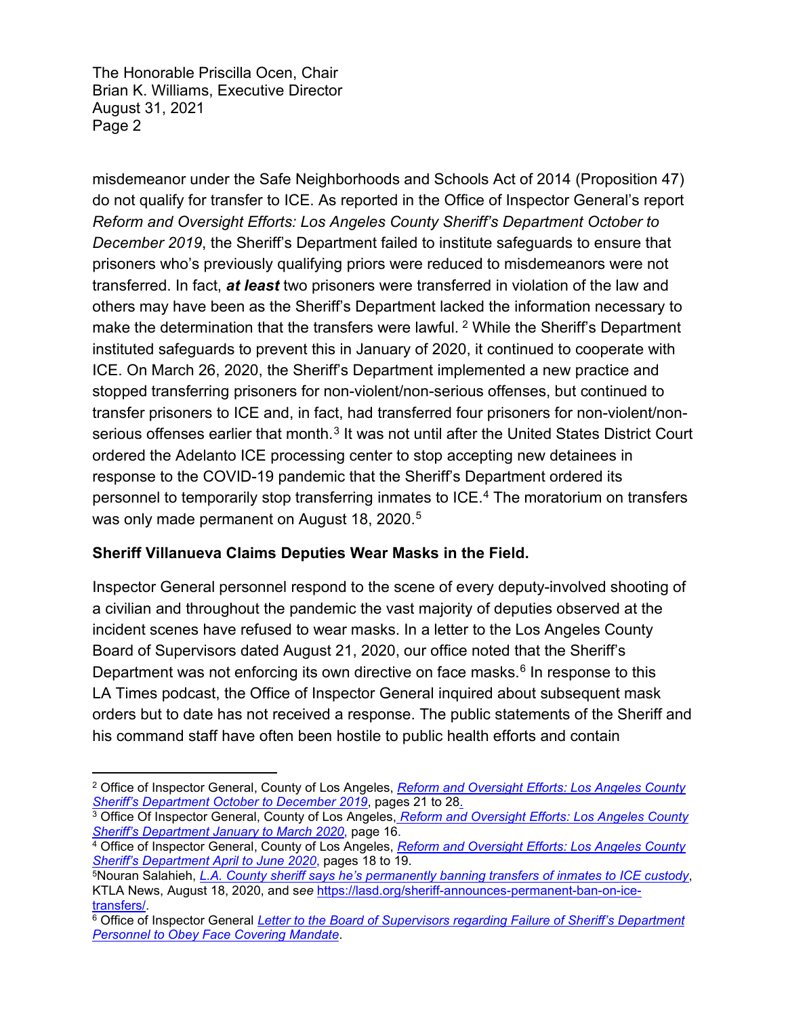misdemeanor under the Safe Neighborhoods and Schools Act of 2014 (Proposition 47) do not qualify for transfer to ICE. As reported in the Office of Inspector General's report *Reform and Oversight Efforts: Los Angeles County Sheriff's Department October to December 2019*, the Sheriff's Department failed to institute safeguards to ensure that prisoners who's previously qualifying priors were reduced to misdemeanors were not transferred. In fact, *at least* two prisoners were transferred in violation of the law and others may have been as the Sheriff's Department lacked the information necessary to make the determination that the transfers were lawful.<sup>[2](#page-1-0)</sup> While the Sheriff's Department instituted safeguards to prevent this in January of 2020, it continued to cooperate with ICE. On March 26, 2020, the Sheriff's Department implemented a new practice and stopped transferring prisoners for non-violent/non-serious offenses, but continued to transfer prisoners to ICE and, in fact, had transferred four prisoners for non-violent/non-serious offenses earlier that month.<sup>[3](#page-1-1)</sup> It was not until after the United States District Court ordered the Adelanto ICE processing center to stop accepting new detainees in response to the COVID-19 pandemic that the Sheriff's Department ordered its personnel to temporarily stop transferring inmates to ICE.[4](#page-1-2) The moratorium on transfers was only made permanent on August 18, 2020. [5](#page-1-3)

## **Sheriff Villanueva Claims Deputies Wear Masks in the Field.**

Inspector General personnel respond to the scene of every deputy-involved shooting of a civilian and throughout the pandemic the vast majority of deputies observed at the incident scenes have refused to wear masks. In a letter to the Los Angeles County Board of Supervisors dated August 21, 2020, our office noted that the Sheriff's Department was not enforcing its own directive on face masks. [6](#page-1-4) In response to this LA Times podcast, the Office of Inspector General inquired about subsequent mask orders but to date has not received a response. The public statements of the Sheriff and his command staff have often been hostile to public health efforts and contain

<span id="page-1-0"></span><sup>2</sup> Office of Inspector General, County of Los Angeles, *[Reform and Oversight Efforts: Los Angeles County](https://oig.lacounty.gov/Portals/OIG/Reports/2019-4th%20QTR%20Reform%20and%20Oversight.pdf?ver=2020-02-28-173158-750)* 

<span id="page-1-1"></span><sup>&</sup>lt;sup>3</sup> Office Of Inspector General[,](https://oig.lacounty.gov/Portals/OIG/Reports/2019-4th%20QTR%20Reform%20and%20Oversight.pdf?ver=2020-02-28-173158-750) County of Los Angeles, *Reform and Oversight Efforts: Los Angeles County [Sheriff's Department January to March 2020](https://oig.lacounty.gov/Portals/OIG/Reports/2020-1st%20QTR%20Reform%20and%20Oversight_200601.pdf?ver=2020-06-09-105124-783)*, page 16.

<span id="page-1-2"></span><sup>4</sup> Office of Inspector General, County of Los Angeles, *[Reform and Oversight Efforts: Los Angeles County](https://oig.lacounty.gov/Portals/OIG/Reports/2020%20-%202nd%20QTR%20Reform%20and%20Oversight_rev.pdf?ver=OBakvKhgXGVI6yjoU_WQLQ%3d%3d)  [Sheriff's Department April to June 2020](https://oig.lacounty.gov/Portals/OIG/Reports/2020%20-%202nd%20QTR%20Reform%20and%20Oversight_rev.pdf?ver=OBakvKhgXGVI6yjoU_WQLQ%3d%3d)*, pages 18 to 19.

<span id="page-1-3"></span><sup>5</sup>Nouran Salahieh, *[L.A. County sheriff says he's permanently banning transfers of inmates to ICE custody](https://ktla.com/news/local-news/l-a-county-sheriff-says-hes-permanently-banning-transfers-of-inmates-to-ice-custody/)*, KTLA News, August 18, 2020, and s*ee* [https://lasd.org/sheriff-announces-permanent-ban-on-ice](https://lasd.org/sheriff-announces-permanent-ban-on-ice-transfers/)[transfers/.](https://lasd.org/sheriff-announces-permanent-ban-on-ice-transfers/)

<span id="page-1-4"></span><sup>6</sup> Office of Inspector General *[Letter to the Board of Supervisors regarding Failure of Sheriff's Department](https://oig.lacounty.gov/Portals/OIG/Reports/BOS_COC_Ltr_re_LASD_Masks_20_08_21.pdf?ver=fgh63yn_htGg930D2wSgJg%3d%3d)  [Personnel to Obey Face Covering Mandate](https://oig.lacounty.gov/Portals/OIG/Reports/BOS_COC_Ltr_re_LASD_Masks_20_08_21.pdf?ver=fgh63yn_htGg930D2wSgJg%3d%3d)*.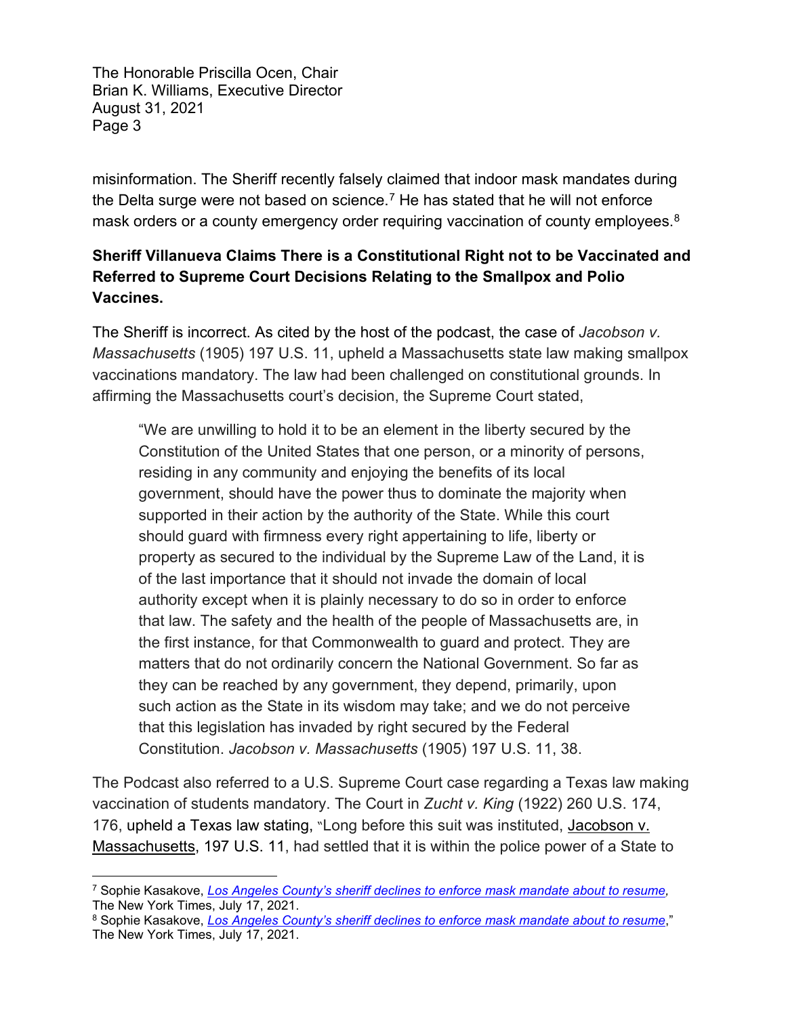misinformation. The Sheriff recently falsely claimed that indoor mask mandates during the Delta surge were not based on science.<sup>[7](#page-2-0)</sup> He has stated that he will not enforce mask orders or a county emergency order requiring vaccination of county employees.<sup>[8](#page-2-1)</sup>

## **Sheriff Villanueva Claims There is a Constitutional Right not to be Vaccinated and Referred to Supreme Court Decisions Relating to the Smallpox and Polio Vaccines.**

The Sheriff is incorrect. As cited by the host of the podcast, the case of *Jacobson v. Massachusetts* (1905) 197 U.S. 11, upheld a Massachusetts state law making smallpox vaccinations mandatory. The law had been challenged on constitutional grounds. In affirming the Massachusetts court's decision, the Supreme Court stated,

"We are unwilling to hold it to be an element in the liberty secured by the Constitution of the United States that one person, or a minority of persons, residing in any community and enjoying the benefits of its local government, should have the power thus to dominate the majority when supported in their action by the authority of the State. While this court should guard with firmness every right appertaining to life, liberty or property as secured to the individual by the Supreme Law of the Land, it is of the last importance that it should not invade the domain of local authority except when it is plainly necessary to do so in order to enforce that law. The safety and the health of the people of Massachusetts are, in the first instance, for that Commonwealth to guard and protect. They are matters that do not ordinarily concern the National Government. So far as they can be reached by any government, they depend, primarily, upon such action as the State in its wisdom may take; and we do not perceive that this legislation has invaded by right secured by the Federal Constitution. *Jacobson v. Massachusetts* (1905) 197 U.S. 11, 38.

The Podcast also referred to a U.S. Supreme Court case regarding a Texas law making vaccination of students mandatory. The Court in *Zucht v. King* (1922) 260 U.S. 174, 176, upheld a Texas law stating, "Long before this suit was instituted, Jacobson v. Massachusetts, 197 U.S. 11, had settled that it is within the police power of a State to

<span id="page-2-0"></span><sup>7</sup> Sophie Kasakove, *[Los Angeles County's sheriff declines to enforce mask mandate about to resume,](https://www.nytimes.com/2021/07/17/world/los-angeles-sheriff-mask.html)*  The New York Times, July 17, 2021.

<span id="page-2-1"></span><sup>8</sup> Sophie Kasakove, *[Los Angeles County's sheriff declines to enforce mask mandate about to resume](https://www.nytimes.com/2021/07/17/world/los-angeles-sheriff-mask.html)*," The New York Times, July 17, 2021.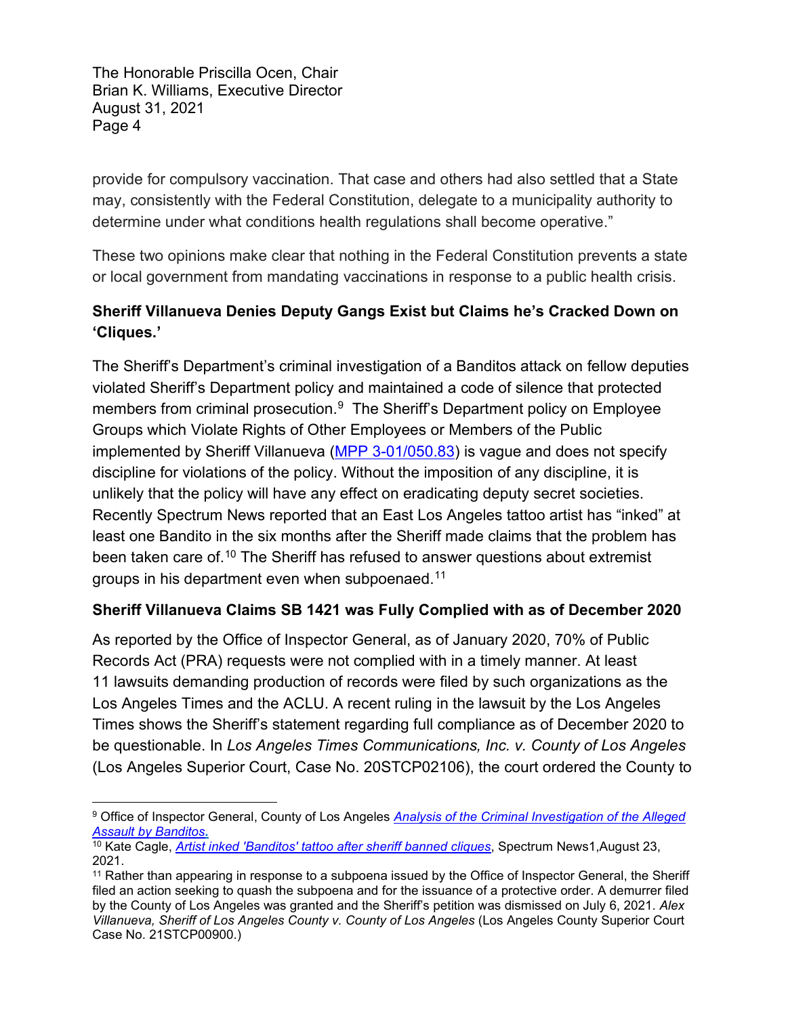provide for compulsory vaccination. That case and others had also settled that a State may, consistently with the Federal Constitution, delegate to a municipality authority to determine under what conditions health regulations shall become operative."

These two opinions make clear that nothing in the Federal Constitution prevents a state or local government from mandating vaccinations in response to a public health crisis.

## **Sheriff Villanueva Denies Deputy Gangs Exist but Claims he's Cracked Down on 'Cliques.'**

The Sheriff's Department's criminal investigation of a Banditos attack on fellow deputies violated Sheriff's Department policy and maintained a code of silence that protected members from criminal prosecution.<sup>[9](#page-3-0)</sup> The Sheriff's Department policy on Employee Groups which Violate Rights of Other Employees or Members of the Public implemented by Sheriff Villanueva [\(MPP 3-01/050.83\)](http://pars.lasd.org/Viewer/Manuals/10008/Content/14944) is vague and does not specify discipline for violations of the policy. Without the imposition of any discipline, it is unlikely that the policy will have any effect on eradicating deputy secret societies. Recently Spectrum News reported that an East Los Angeles tattoo artist has "inked" at least one Bandito in the six months after the Sheriff made claims that the problem has been taken care of.<sup>[10](#page-3-1)</sup> The Sheriff has refused to answer questions about extremist groups in his department even when subpoenaed.[11](#page-3-2)

#### **Sheriff Villanueva Claims SB 1421 was Fully Complied with as of December 2020**

As reported by the Office of Inspector General, as of January 2020, 70% of Public Records Act (PRA) requests were not complied with in a timely manner. At least 11 lawsuits demanding production of records were filed by such organizations as the Los Angeles Times and the ACLU. A recent ruling in the lawsuit by the Los Angeles Times shows the Sheriff's statement regarding full compliance as of December 2020 to be questionable. In *Los Angeles Times Communications, Inc. v. County of Los Angeles*  (Los Angeles Superior Court, Case No. 20STCP02106), the court ordered the County to

<span id="page-3-0"></span><sup>9</sup> Office of Inspector General, County of Los Angeles *Analysis of the Criminal [Investigation](https://oig.lacounty.gov/Portals/OIG/Reports/Review_Banditos_Investigation.pdf?ver=rFOrJ7O-WQGq4SYeyOVDEw%3d%3d) of the Alleged Assault by [Banditos](https://oig.lacounty.gov/Portals/OIG/Reports/Review_Banditos_Investigation.pdf?ver=rFOrJ7O-WQGq4SYeyOVDEw%3d%3d)***.**

<span id="page-3-1"></span><sup>10</sup> Kate Cagle, *[Artist inked 'Banditos' tattoo after sheriff banned cliques](https://spectrumnews1.com/ca/la-west/public-safety/2021/08/22/artist-inked-banditos-tattoo-after-sheriff-banned-cliques)*, Spectrum News1,August 23, 2021.

<span id="page-3-2"></span><sup>11</sup> Rather than appearing in response to a subpoena issued by the Office of Inspector General, the Sheriff filed an action seeking to quash the subpoena and for the issuance of a protective order. A demurrer filed by the County of Los Angeles was granted and the Sheriff's petition was dismissed on July 6, 2021. *Alex Villanueva, Sheriff of Los Angeles County v. County of Los Angeles* (Los Angeles County Superior Court Case No. 21STCP00900.)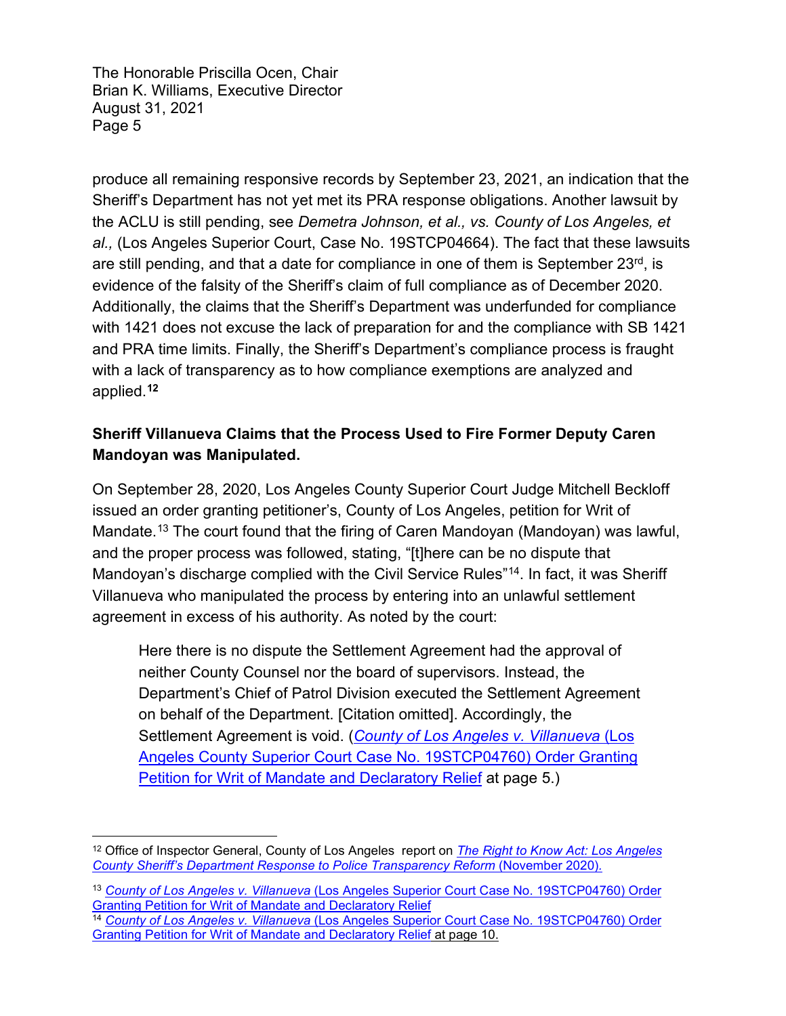produce all remaining responsive records by September 23, 2021, an indication that the Sheriff's Department has not yet met its PRA response obligations. Another lawsuit by the ACLU is still pending, see *Demetra Johnson, et al., vs. County of Los Angeles, et al.,* (Los Angeles Superior Court, Case No. 19STCP04664). The fact that these lawsuits are still pending, and that a date for compliance in one of them is September  $23^{\text{rd}}$ , is evidence of the falsity of the Sheriff's claim of full compliance as of December 2020. Additionally, the claims that the Sheriff's Department was underfunded for compliance with 1421 does not excuse the lack of preparation for and the compliance with SB 1421 and PRA time limits. Finally, the Sheriff's Department's compliance process is fraught with a lack of transparency as to how compliance exemptions are analyzed and applied.**[12](#page-4-0)**

## **Sheriff Villanueva Claims that the Process Used to Fire Former Deputy Caren Mandoyan was Manipulated.**

On September 28, 2020, Los Angeles County Superior Court Judge Mitchell Beckloff issued an order granting petitioner's, County of Los Angeles, petition for Writ of Mandate. [13](#page-4-1) The court found that the firing of Caren Mandoyan (Mandoyan) was lawful, and the proper process was followed, stating, "[t]here can be no dispute that Mandoyan's discharge complied with the Civil Service Rules"<sup>14</sup>. In fact, it was Sheriff Villanueva who manipulated the process by entering into an unlawful settlement agreement in excess of his authority. As noted by the court:

Here there is no dispute the Settlement Agreement had the approval of neither County Counsel nor the board of supervisors. Instead, the Department's Chief of Patrol Division executed the Settlement Agreement on behalf of the Department. [Citation omitted]. Accordingly, the Settlement Agreement is void. (*[County of Los Angeles v. Villanueva](https://oig.lacounty.gov/Portals/OIG/Other%20Documents/County%20of%20Los%20Angeles%20v.%20Villanueva%20Case%20No.%2019STCP00630.pdf)* (Los [Angeles County Superior Court Case No. 19STCP04760\) Order Granting](https://oig.lacounty.gov/Portals/OIG/Other%20Documents/County%20of%20Los%20Angeles%20v.%20Villanueva%20Case%20No.%2019STCP00630.pdf)  [Petition for Writ of Mandate and Declaratory Relief](https://oig.lacounty.gov/Portals/OIG/Other%20Documents/County%20of%20Los%20Angeles%20v.%20Villanueva%20Case%20No.%2019STCP00630.pdf) at page 5.)

<span id="page-4-0"></span><sup>12</sup> Office of Inspector General, County of Los Angeles report on *[The Right to Know Act: Los Angeles](https://oig.lacounty.gov/Portals/OIG/Reports/RighttoKnowActLASDCompliance.pdf?ver=Ul_gk0xtYOOUlI0KiSOgVA%3d%3d)  [County Sheriff's Department Response to Police Transparency Reform](https://oig.lacounty.gov/Portals/OIG/Reports/RighttoKnowActLASDCompliance.pdf?ver=Ul_gk0xtYOOUlI0KiSOgVA%3d%3d)* (November 2020)*.*

<span id="page-4-1"></span><sup>13</sup> *County of Los Angeles v. Villanueva* (Los Angeles Superior Court Case No. [19STCP04760\)](https://oig.lacounty.gov/Portals/OIG/Other%20Documents/County%20of%20Los%20Angeles%20v.%20Villanueva%20Case%20No.%2019STCP00630.pdf) Order Granting Petition for Writ of Mandate and [Declaratory](https://oig.lacounty.gov/Portals/OIG/Other%20Documents/County%20of%20Los%20Angeles%20v.%20Villanueva%20Case%20No.%2019STCP00630.pdf) Relief

<span id="page-4-2"></span><sup>14</sup> *County of Los Angeles v. Villanueva* (Los Angeles Superior Court Case No. [19STCP04760\)](https://oig.lacounty.gov/Portals/OIG/Other%20Documents/County%20of%20Los%20Angeles%20v.%20Villanueva%20Case%20No.%2019STCP00630.pdf) Order Granting Petition for Writ of Mandate and [Declaratory](https://oig.lacounty.gov/Portals/OIG/Other%20Documents/County%20of%20Los%20Angeles%20v.%20Villanueva%20Case%20No.%2019STCP00630.pdf) Relief at page 10.